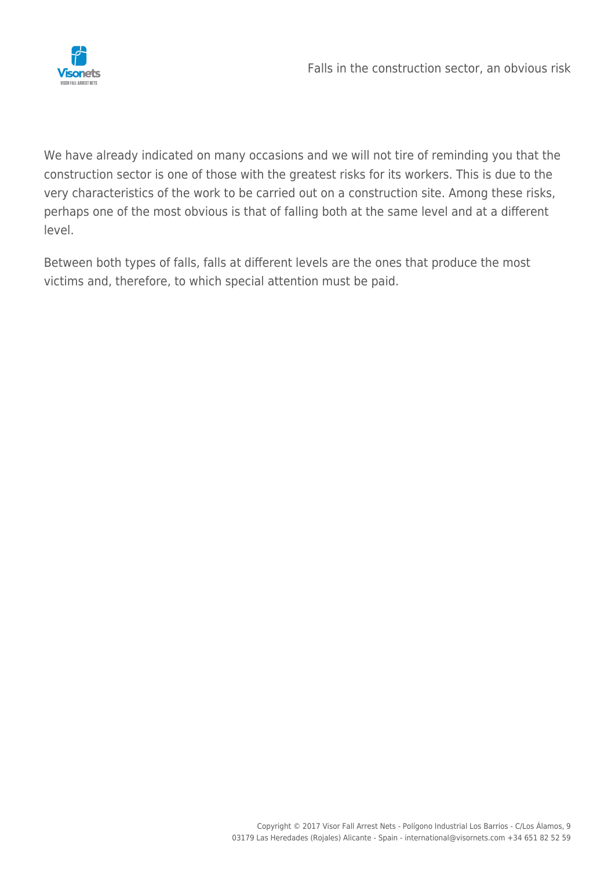

We have already indicated on many occasions and we will not tire of reminding you that the construction sector is one of those with the greatest risks for its workers. This is due to the very characteristics of the work to be carried out on a construction site. Among these risks, perhaps one of the most obvious is that of falling both at the same level and at a different level.

Between both types of falls, falls at different levels are the ones that produce the most victims and, therefore, to which special attention must be paid.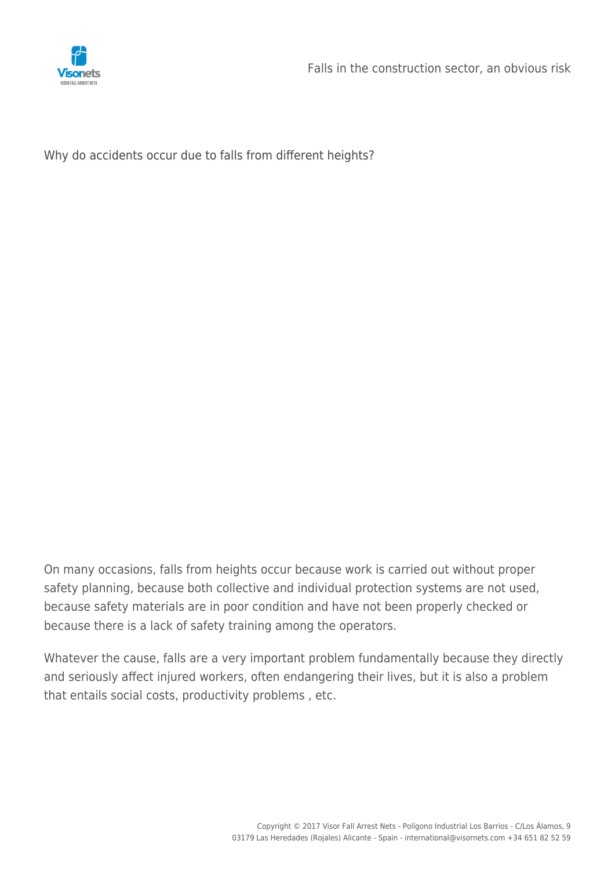

Why do accidents occur due to falls from different heights?

On many occasions, falls from heights occur because work is carried out without proper safety planning, because both collective and individual protection systems are not used, because safety materials are in poor condition and have not been properly checked or because there is a lack of safety training among the operators.

Whatever the cause, falls are a very important problem fundamentally because they directly and seriously affect injured workers, often endangering their lives, but it is also a problem that entails social costs, productivity problems , etc.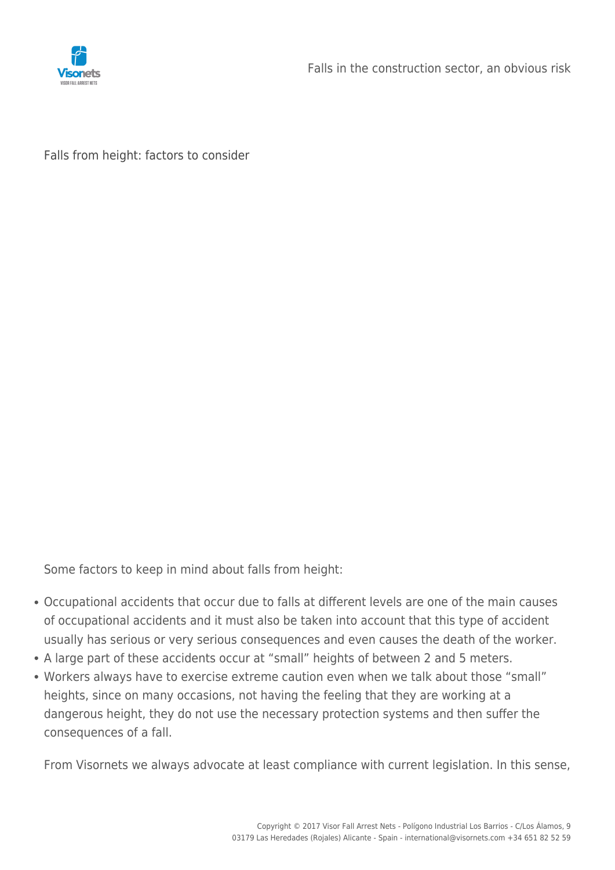

Falls from height: factors to consider

Some factors to keep in mind about falls from height:

- Occupational accidents that occur due to falls at different levels are one of the main causes of occupational accidents and it must also be taken into account that this type of accident usually has serious or very serious consequences and even causes the death of the worker.
- A large part of these accidents occur at "small" heights of between 2 and 5 meters.
- Workers always have to exercise extreme caution even when we talk about those "small" heights, since on many occasions, not having the feeling that they are working at a dangerous height, they do not use the necessary protection systems and then suffer the consequences of a fall.

From Visornets we always advocate at least compliance with current legislation. In this sense,